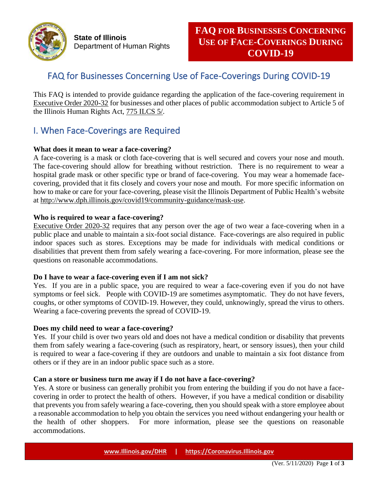

**State of Illinois** Department of Human Rights

# FAQ for Businesses Concerning Use of Face-Coverings During COVID-19

This FAQ is intended to provide guidance regarding the application of the face-covering requirement in [Executive Order 2020-32](https://www2.illinois.gov/Pages/Executive-Orders/ExecutiveOrder2020-32.aspx) for businesses and other places of public accommodation subject to Article 5 of the Illinois Human Rights Act, [775 ILCS 5/.](http://ilga.gov/legislation/ilcs/ilcs3.asp?ActID=2266&ChapterID=64)

# I. When Face-Coverings are Required

## **What does it mean to wear a face-covering?**

A face-covering is a mask or cloth face-covering that is well secured and covers your nose and mouth. The face-covering should allow for breathing without restriction. There is no requirement to wear a hospital grade mask or other specific type or brand of face-covering. You may wear a homemade facecovering, provided that it fits closely and covers your nose and mouth. For more specific information on how to make or care for your face-covering, please visit the Illinois Department of Public Health's website at [http://www.dph.illinois.gov/covid19/community-guidance/mask-use.](http://www.dph.illinois.gov/covid19/community-guidance/mask-use)

## **Who is required to wear a face-covering?**

[Executive Order 2020-32](https://www2.illinois.gov/Pages/Executive-Orders/ExecutiveOrder2020-32.aspx) requires that any person over the age of two wear a face-covering when in a public place and unable to maintain a six-foot social distance. Face-coverings are also required in public indoor spaces such as stores. Exceptions may be made for individuals with medical conditions or disabilities that prevent them from safely wearing a face-covering. For more information, please see the questions on reasonable accommodations.

## **Do I have to wear a face-covering even if I am not sick?**

Yes. If you are in a public space, you are required to wear a face-covering even if you do not have symptoms or feel sick. People with COVID-19 are sometimes asymptomatic. They do not have fevers, coughs, or other symptoms of COVID-19. However, they could, unknowingly, spread the virus to others. Wearing a face-covering prevents the spread of COVID-19.

## **Does my child need to wear a face-covering?**

Yes. If your child is over two years old and does not have a medical condition or disability that prevents them from safely wearing a face-covering (such as respiratory, heart, or sensory issues), then your child is required to wear a face-covering if they are outdoors and unable to maintain a six foot distance from others or if they are in an indoor public space such as a store.

## **Can a store or business turn me away if I do not have a face-covering?**

Yes. A store or business can generally prohibit you from entering the building if you do not have a facecovering in order to protect the health of others. However, if you have a medical condition or disability that prevents you from safely wearing a face-covering, then you should speak with a store employee about a reasonable accommodation to help you obtain the services you need without endangering your health or the health of other shoppers. For more information, please see the questions on reasonable accommodations.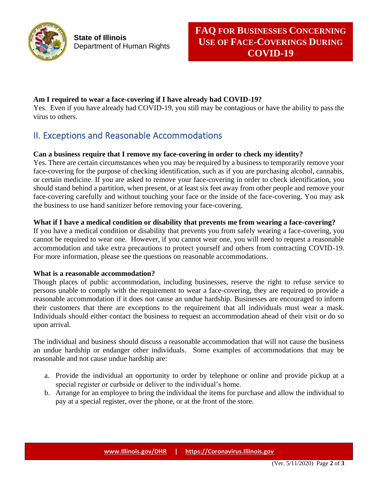

## **Am I required to wear a face-covering if I have already had COVID-19?**

Yes. Even if you have already had COVID-19, you still may be contagious or have the ability to pass the virus to others.

# II. Exceptions and Reasonable Accommodations

# **Can a business require that I remove my face-covering in order to check my identity?**

Yes. There are certain circumstances when you may be required by a business to temporarily remove your face-covering for the purpose of checking identification, such as if you are purchasing alcohol, cannabis, or certain medicine. If you are asked to remove your face-covering in order to check identification, you should stand behind a partition, when present, or at least six feet away from other people and remove your face-covering carefully and without touching your face or the inside of the face-covering. You may ask the business to use hand sanitizer before removing your face-covering.

## **What if I have a medical condition or disability that prevents me from wearing a face-covering?**

If you have a medical condition or disability that prevents you from safely wearing a face-covering, you cannot be required to wear one. However, if you cannot wear one, you will need to request a reasonable accommodation and take extra precautions to protect yourself and others from contracting COVID-19. For more information, please see the questions on reasonable accommodations.

## **What is a reasonable accommodation?**

Though places of public accommodation, including businesses, reserve the right to refuse service to persons unable to comply with the requirement to wear a face-covering, they are required to provide a reasonable accommodation if it does not cause an undue hardship. Businesses are encouraged to inform their customers that there are exceptions to the requirement that all individuals must wear a mask. Individuals should either contact the business to request an accommodation ahead of their visit or do so upon arrival.

The individual and business should discuss a reasonable accommodation that will not cause the business an undue hardship or endanger other individuals. Some examples of accommodations that may be reasonable and not cause undue hardship are:

- a. Provide the individual an opportunity to order by telephone or online and provide pickup at a special register or curbside or deliver to the individual's home.
- b. Arrange for an employee to bring the individual the items for purchase and allow the individual to pay at a special register, over the phone, or at the front of the store.